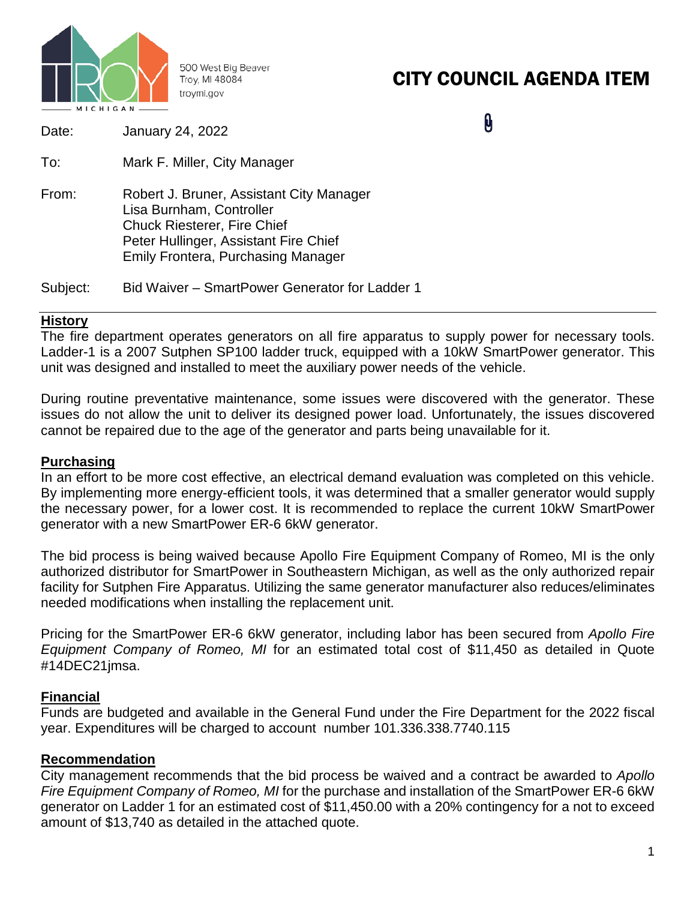

500 West Big Beaver Troy, MI 48084 troymi.gov

# CITY COUNCIL AGENDA ITEM

0

| Date:    | <b>January 24, 2022</b>                                                                                                                                                                          |
|----------|--------------------------------------------------------------------------------------------------------------------------------------------------------------------------------------------------|
| To:      | Mark F. Miller, City Manager                                                                                                                                                                     |
| From:    | Robert J. Bruner, Assistant City Manager<br>Lisa Burnham, Controller<br><b>Chuck Riesterer, Fire Chief</b><br>Peter Hullinger, Assistant Fire Chief<br><b>Emily Frontera, Purchasing Manager</b> |
| Subject: | Bid Waiver – SmartPower Generator for Ladder 1                                                                                                                                                   |

### **History**

The fire department operates generators on all fire apparatus to supply power for necessary tools. Ladder-1 is a 2007 Sutphen SP100 ladder truck, equipped with a 10kW SmartPower generator. This unit was designed and installed to meet the auxiliary power needs of the vehicle.

During routine preventative maintenance, some issues were discovered with the generator. These issues do not allow the unit to deliver its designed power load. Unfortunately, the issues discovered cannot be repaired due to the age of the generator and parts being unavailable for it.

#### **Purchasing**

In an effort to be more cost effective, an electrical demand evaluation was completed on this vehicle. By implementing more energy-efficient tools, it was determined that a smaller generator would supply the necessary power, for a lower cost. It is recommended to replace the current 10kW SmartPower generator with a new SmartPower ER-6 6kW generator.

The bid process is being waived because Apollo Fire Equipment Company of Romeo, MI is the only authorized distributor for SmartPower in Southeastern Michigan, as well as the only authorized repair facility for Sutphen Fire Apparatus. Utilizing the same generator manufacturer also reduces/eliminates needed modifications when installing the replacement unit.

Pricing for the SmartPower ER-6 6kW generator, including labor has been secured from *Apollo Fire Equipment Company of Romeo, MI* for an estimated total cost of \$11,450 as detailed in Quote #14DEC21jmsa.

## **Financial**

Funds are budgeted and available in the General Fund under the Fire Department for the 2022 fiscal year. Expenditures will be charged to account number 101.336.338.7740.115

#### **Recommendation**

City management recommends that the bid process be waived and a contract be awarded to *Apollo Fire Equipment Company of Romeo, MI* for the purchase and installation of the SmartPower ER-6 6kW generator on Ladder 1 for an estimated cost of \$11,450.00 with a 20% contingency for a not to exceed amount of \$13,740 as detailed in the attached quote.